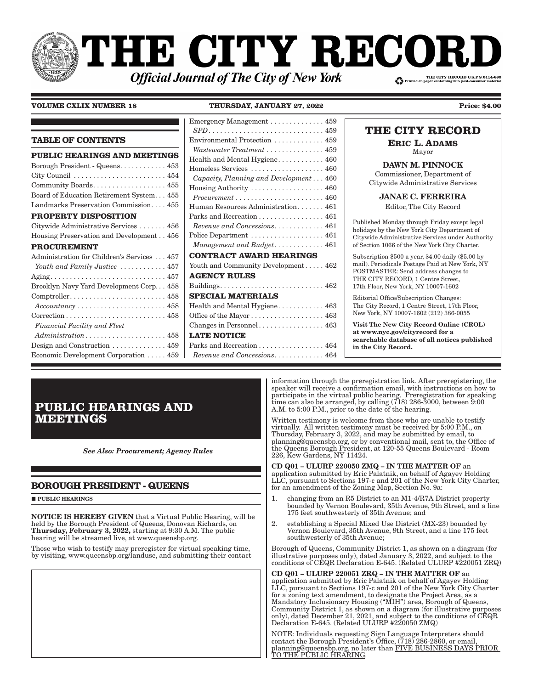# **THE CITY RECOI** THE CITY RECORD U.S.P.S.0114-660 **Official Journal of The City of New York**

#### **VOLUME CXLIX NUMBER 18**

THURSDAY, JANUARY 27, 2022

 $159$ 

 $\blacksquare$  L Emergency Management

| <b>TABLE OF CONTENTS</b>                                                          | Environmental Protection 459                                      |
|-----------------------------------------------------------------------------------|-------------------------------------------------------------------|
| PUBLIC HEARINGS AND MEETINGS                                                      | Wastewater Treatment  459<br>Health and Mental Hygiene 460        |
| Borough President - Queens 453                                                    | Homeless Services  460                                            |
|                                                                                   | Capacity, Planning and Development 460                            |
| Community Boards 455                                                              | Housing Authority  460                                            |
| Board of Education Retirement System. 455                                         | $Procurrent \ldots \ldots \ldots \ldots \ldots \ldots \ldots 460$ |
| Landmarks Preservation Commission 455                                             | Human Resources Administration 461                                |
| <b>PROPERTY DISPOSITION</b>                                                       | Parks and Recreation 461                                          |
| Citywide Administrative Services  456                                             | $Revenue$ and Concessions461                                      |
| Housing Preservation and Development456                                           | Police Department  461                                            |
| <b>PROCUREMENT</b>                                                                |                                                                   |
| Administration for Children's Services  457                                       | <b>CONTRACT AWARD HEARINGS</b>                                    |
| Youth and Family Justice  457                                                     | Youth and Community Development 462                               |
|                                                                                   | <b>AGENCY RULES</b>                                               |
| Brooklyn Navy Yard Development Corp 458                                           |                                                                   |
| $Comptroller. \ldots \ldots \ldots \ldots \ldots \ldots \ldots \ldots \ldots 458$ | <b>SPECIAL MATERIALS</b>                                          |
| $Accountancy \ldots \ldots \ldots \ldots \ldots \ldots \ldots 458$                | Health and Mental Hygiene 463                                     |
|                                                                                   | Office of the Mayor 463                                           |
| Financial Facility and Fleet                                                      |                                                                   |
| $Administration \dots \dots \dots \dots \dots \dots \dots \ 458$                  | <b>LATE NOTICE</b>                                                |
| Design and Construction $\dots \dots \dots \dots 459$                             | Parks and Recreation 464                                          |
| Economic Development Corporation 459                                              | $Revenue$ and Concessions464                                      |

## THE CITY RECORD

**Price: \$4.00** 

**ERIC L. ADAMS** 

Mayor

**DAWN M. PINNOCK** Commissioner, Department of Citywide Administrative Services

**JANAE C. FERREIRA** 

Editor, The City Record

Published Monday through Friday except legal holidays by the New York City Department of Citywide Administrative Services under Authority of Section 1066 of the New York City Charter.

Subscription \$500 a year, \$4.00 daily (\$5.00 by mail). Periodicals Postage Paid at New York, NY POSTMASTER: Send address changes to THE CITY RECORD, 1 Centre Street, 17th Floor, New York, NY 10007-1602

Editorial Office/Subscription Changes: The City Record, 1 Centre Street, 17th Floor, New York, NY 10007-1602 (212) 386-0055

Visit The New City Record Online (CROL) at www.nyc.gov/cityrecord for a searchable database of all notices published in the City Record.

# **PUBLIC HEARINGS AND MEETINGS**

**See Also: Procurement; Agency Rules** 

## **BOROUGH PRESIDENT - QUEENS**

 $\blacksquare$ PUBLIC HEARINGS

**NOTICE IS HEREBY GIVEN** that a Virtual Public Hearing, will be held by the Borough President of Queens, Donovan Richards, on Thursday, February 3, 2022, starting at 9:30 A.M. The public hearing will be streamed live, at www.queensbp.org.

Those who wish to testify may preregister for virtual speaking time,<br>by visiting, www.queensbp.org/landuse, and submitting their contact

information through the preregistration link. After preregistering, the speaker will receive a confirmation email, with instructions on how to participate in the virtual public hearing. Preregistration for speaking<br>time can also be arranged, by calling (718) 286-3000, between 9:00 A.M. to 5:00 P.M., prior to the date of the hearing.

Written testimony is welcome from those who are unable to testify virtually. All written testimony must be received by 5:00 P.M., on Thursday, February 3, 2022, and may be submitted by email, to planning@queensbp.org, or by conventional mail, sent to, the Office of the Queens Borough President, at 120-55 Queens Boulevard - Room 226, Kew Gardens, NY 11424.

CD Q01 - ULURP 220050 ZMQ - IN THE MATTER OF an application submitted by Eric Palatnik, on behalf of Agayev Holding LLC, pursuant to Sections 197-c and 201 of the New York City Charter, for an amendment of the Zoning Map, Section No. 9a:

- changing from an R5 District to an M1-4/R7A District property  $\mathbf{1}$ . bounded by Vernon Boulevard, 35th Avenue, 9th Street, and a line<br>175 feet southwesterly of 35th Avenue; and
- $\overline{2}$ . establishing a Special Mixed Use District (MX-23) bounded by Vernon Boulevard, 35th Avenue, 9th Street, and a line 175 feet southwesterly of 35th Avenue;

Borough of Queens, Community District 1, as shown on a diagram (for illustrative purposes only), dated January 3, 2022, and subject to the conditions of CEQR Declaration E-645. (Related ULURP #220051 ZRQ)

CD Q01 - ULURP 220051 ZRQ - IN THE MATTER OF an application submitted by Eric Palatnik on behalf of Agayev Holding LLC, pursuant to Sections 197-c and 201 of the New York City Charter for a zoning text amendment, to designate the Project Area, as a Mandatory Inclusionary Housing ("MIH") area, Borough of Queens, Community District 1, as shown on a diagram (for illustrative purposes only), dated December 21, 2021, and subject to the conditions of CEQR<br>Declaration E-645. (Related ULURP #220050 ZMQ)

NOTE: Individuals requesting Sign Language Interpreters should contact the Borough President's Office, (718) 286-2860, or email, blanning@queensbp.org, no later than FIVE BUSINESS DAYS PRIOR<br>TO THE PUBLIC HEARING.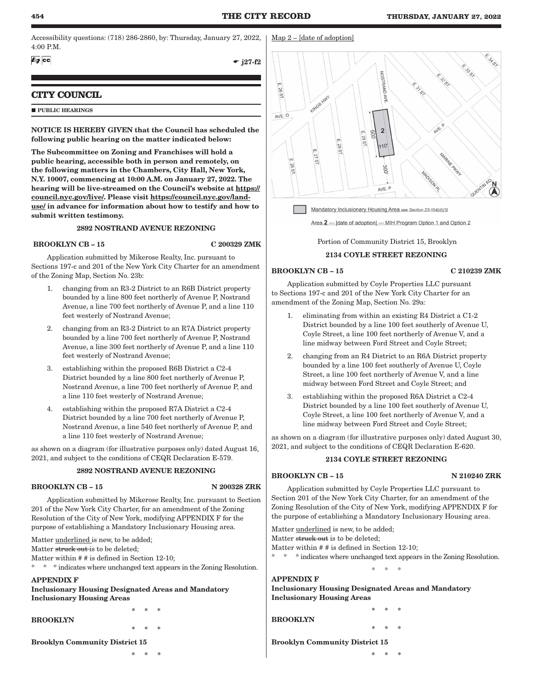Accessibility questions: (718) 286-2860, by: Thursday, January 27, 2022, 4:00 P.M.

 $69$   $cc$ 

 $-$  j27-f2

## **CITY COUNCIL**

#### **PUBLIC HEARINGS**

NOTICE IS HEREBY GIVEN that the Council has scheduled the following public hearing on the matter indicated below:

The Subcommittee on Zoning and Franchises will hold a public hearing, accessible both in person and remotely, on the following matters in the Chambers, City Hall, New York, N.Y. 10007, commencing at 10:00 A.M. on January 27, 2022. The hearing will be live-streamed on the Council's website at https:// council.nyc.gov/live/. Please visit https://council.nyc.gov/landuse/ in advance for information about how to testify and how to submit written testimony.

## 2892 NOSTRAND AVENUE REZONING

## BROOKLYN CB – 15 C 200329 ZMK

Application submitted by Mikerose Realty, Inc. pursuant to Sections 197-c and 201 of the New York City Charter for an amendment of the Zoning Map, Section No. 23b:

- 1. changing from an R3-2 District to an R6B District property bounded by a line 800 feet northerly of Avenue P, Nostrand Avenue, a line 700 feet northerly of Avenue P, and a line 110 feet westerly of Nostrand Avenue;
- 2. changing from an R3-2 District to an R7A District property bounded by a line 700 feet northerly of Avenue P, Nostrand Avenue, a line 300 feet northerly of Avenue P, and a line 110 feet westerly of Nostrand Avenue;
- 3. establishing within the proposed R6B District a C2-4 District bounded by a line 800 feet northerly of Avenue P, Nostrand Avenue, a line 700 feet northerly of Avenue P, and a line 110 feet westerly of Nostrand Avenue;
- 4. establishing within the proposed R7A District a C2-4 District bounded by a line 700 feet northerly of Avenue P, Nostrand Avenue, a line 540 feet northerly of Avenue P, and a line 110 feet westerly of Nostrand Avenue;

as shown on a diagram (for illustrative purposes only) dated August 16, 2021, and subject to the conditions of CEQR Declaration E-579.

#### 2892 NOSTRAND AVENUE REZONING

## BROOKLYN CB – 15 N 200328 ZRK

Application submitted by Mikerose Realty, Inc. pursuant to Section 201 of the New York City Charter, for an amendment of the Zoning Resolution of the City of New York, modifying APPENDIX F for the purpose of establishing a Mandatory Inclusionary Housing area.

Matter underlined is new, to be added;

Matter struck out is to be deleted;

Matter within # # is defined in Section 12-10;

\* \* \* indicates where unchanged text appears in the Zoning Resolution.

\* \* \*

\* \* \*

## APPENDIX F

Inclusionary Housing Designated Areas and Mandatory Inclusionary Housing Areas

BROOKLYN

Brooklyn Community District 15

\* \* \*



Area 2 - [date of adoption] - MIH Program Option 1 and Option 2

Portion of Community District 15, Brooklyn

## 2134 COYLE STREET REZONING

## BROOKLYN CB – 15 C 210239 ZMK

Application submitted by Coyle Properties LLC pursuant to Sections 197-c and 201 of the New York City Charter for an amendment of the Zoning Map, Section No. 29a:

- 1. eliminating from within an existing R4 District a C1-2 District bounded by a line 100 feet southerly of Avenue U, Coyle Street, a line 100 feet northerly of Avenue V, and a line midway between Ford Street and Coyle Street;
- 2. changing from an R4 District to an R6A District property bounded by a line 100 feet southerly of Avenue U, Coyle Street, a line 100 feet northerly of Avenue V, and a line midway between Ford Street and Coyle Street; and
- 3. establishing within the proposed R6A District a C2-4 District bounded by a line 100 feet southerly of Avenue U, Coyle Street, a line 100 feet northerly of Avenue V, and a line midway between Ford Street and Coyle Street;

as shown on a diagram (for illustrative purposes only) dated August 30, 2021, and subject to the conditions of CEQR Declaration E-620.

## 2134 COYLE STREET REZONING

## BROOKLYN CB – 15 N 210240 ZRK

Application submitted by Coyle Properties LLC pursuant to Section 201 of the New York City Charter, for an amendment of the Zoning Resolution of the City of New York, modifying APPENDIX F for the purpose of establishing a Mandatory Inclusionary Housing area.

Matter underlined is new, to be added; Matter struck out is to be deleted;

Matter within # # is defined in Section 12-10;

\* \* \* indicates where unchanged text appears in the Zoning Resolution.

\* \* \*

\* \* \*

\* \* \*

## APPENDIX F Inclusionary Housing Designated Areas and Mandatory

Inclusionary Housing Areas

BROOKLYN

Brooklyn Community District 15

\* \* \*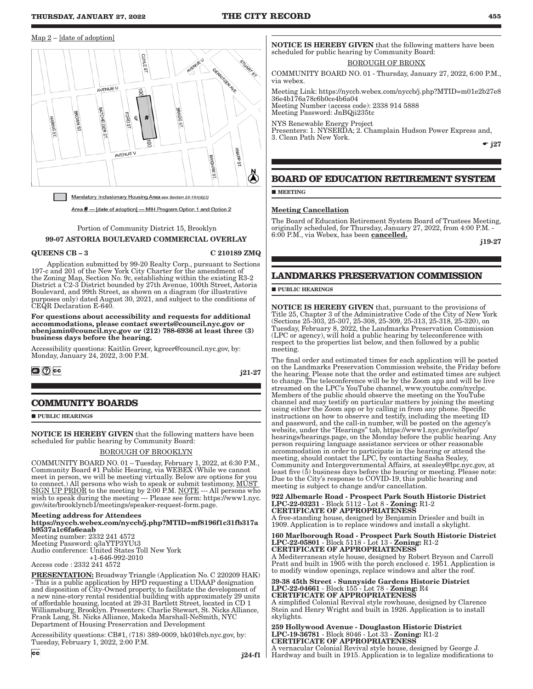#### Map 2 – [date of adoption]



Mandatory Inclusionary Housing Area see Section 23-154(d)(3)

Area # - [date of adoption] - MIH Program Option 1 and Option 2

Portion of Community District 15, Brooklyn 99-07 ASTORIA BOULEVARD COMMERCIAL OVERLAY

#### QUEENS CB – 3 C 210189 ZMQ

Application submitted by 99-20 Realty Corp., pursuant to Sections 197-c and 201 of the New York City Charter for the amendment of the Zoning Map, Section No. 9c, establishing within the existing R3-2 District a C2-3 District bounded by 27th Avenue, 100th Street, Astoria Boulevard, and 99th Street, as shown on a diagram (for illustrative purposes only) dated August 30, 2021, and subject to the conditions of CEQR Declaration E-640.

For questions about accessibility and requests for additional accommodations, please contact swerts@council.nyc.gov or nbenjamin@council.nyc.gov or (212) 788-6936 at least three (3) business days before the hearing.

Accessibility questions: Kaitlin Greer, kgreer@council.nyc.gov, by: Monday, January 24, 2022, 3:00 P.M.

## $\circ$   $\circ$

j21-27

## **COMMUNITY BOARDS**

**PUBLIC HEARINGS** 

NOTICE IS HEREBY GIVEN that the following matters have been scheduled for public hearing by Community Board:

#### BOROUGH OF BROOKLYN

COMMUNITY BOARD NO. 01 – Tuesday, February 1, 2022, at 6:30 P.M., Community Board #1 Public Hearing, via WEBEX (While we cannot meet in person, we will be meeting virtually. Below are options for you to connect.) All persons who wish to speak or submit testimony, MUST SIGN UP PRIOR to the meeting by 2:00 P.M. NOTE --- All persons who wish to speak during the meeting --- Please see form: https://www1.nyc. gov/site/brooklyncb1/meetings/speaker-request-form.page.

Meeting address for Attendees

https://nyccb.webex.com/nyccb/j.php?MTID=mf8196f1c31fb317a b9537a1c6fa6eaab Meeting number: 2332 241 4572

Meeting Password: q3aYTP3YUt3 Audio conference: United States Toll New York +1-646-992-2010

Access code : 2332 241 4572

**PRESENTATION:** Broadway Triangle (Application No. C 220209 HAK) - This is a public application by HPD requesting a UDAAP designation and disposition of City-Owned property, to facilitate the development of a new nine-story rental residential building with approximately 29 units of affordable housing, located at 29-31 Bartlett Street, located in CD 1 Williamsburg, Brooklyn. Presenters: Charlie Stewart, St. Nicks Alliance, Frank Lang, St. Nicks Alliance, Makeda Marshall-NeSmith, NYC Department of Housing Preservation and Development

Accessibility questions: CB#1, (718) 389-0009, bk01@cb.nyc.gov, by: Tuesday, February 1, 2022, 2:00 P.M.

**NOTICE IS HEREBY GIVEN** that the following matters have been scheduled for public hearing by Community Board:

#### BOROUGH OF BRONX

COMMUNITY BOARD NO. 01 - Thursday, January 27, 2022, 6:00 P.M., via webex.

Meeting Link: https://nyccb.webex.com/nyccb/j.php?MTID=m01e2b27e8 36e4b176a78c6b0ce4b6a04 Meeting Number (access code): 2338 914 5888

Meeting Password: JnBQji235tc

NYS Renewable Energy Project Presenters: 1. NYSERDA; 2. Champlain Hudson Power Express and, 3. Clean Path New York.

 $\div$  j27

## **BOARD OF EDUCATION RETIREMENT SYSTEM**

**MEETING** 

#### Meeting Cancellation

The Board of Education Retirement System Board of Trustees Meeting, originally scheduled, for Thursday, January 27, 2022, from 4:00 P.M. - 6:00 P.M., via Webex, has been **cancelled.** 

j19-27

## **LANDMARKS PRESERVATION COMMISSION**

#### **PUBLIC HEARINGS**

NOTICE IS HEREBY GIVEN that, pursuant to the provisions of Title 25, Chapter 3 of the Administrative Code of the City of New York (Sections 25-303, 25-307, 25-308, 25-309, 25-313, 25-318, 25-320), on Tuesday, February 8, 2022, the Landmarks Preservation Commission (LPC or agency), will hold a public hearing by teleconference with respect to the properties list below, and then followed by a public meeting.

The final order and estimated times for each application will be posted on the Landmarks Preservation Commission website, the Friday before the hearing. Please note that the order and estimated times are subject to change. The teleconference will be by the Zoom app and will be live streamed on the LPC's YouTube channel, www.youtube.com/nyclpc. Members of the public should observe the meeting on the YouTube channel and may testify on particular matters by joining the meeting using either the Zoom app or by calling in from any phone. Specific instructions on how to observe and testify, including the meeting ID and password, and the call-in number, will be posted on the agency's website, under the "Hearings" tab, https://www1.nyc.gov/site/lpc/ hearings/hearings.page, on the Monday before the public hearing. Any person requiring language assistance services or other reasonable accommodation in order to participate in the hearing or attend the meeting, should contact the LPC, by contacting Sasha Sealey, Community and Intergovernmental Affairs, at ssealey@lpc.nyc.gov, at least five (5) business days before the hearing or meeting. Please note: Due to the City's response to COVID-19, this public hearing and meeting is subject to change and/or cancellation.

922 Albemarle Road - Prospect Park South Historic District LPC-22-03231 - Block 5112 - Lot 8 - Zoning: R1-2 CERTIFICATE OF APPROPRIATENESS A free-standing house, designed by Benjamin Driesler and built in

1909. Application is to replace windows and install a skylight.

#### 160 Marlborough Road - Prospect Park South Historic District LPC-22-05801 - Block 5118 - Lot 13 - Zoning: R1-2 CERTIFICATE OF APPROPRIATENESS

A Mediterranean style house, designed by Robert Bryson and Carroll Pratt and built in 1905 with the porch enclosed c. 1951. Application is to modify window openings, replace windows and alter the roof.

39-38 45th Street - Sunnyside Gardens Historic District LPC-22-04661 - Block 155 - Lot 78 - Zoning: R4 CERTIFICATE OF APPROPRIATENESS A simplified Colonial Revival style rowhouse, designed by Clarence

Stein and Henry Wright and built in 1926. Application is to install skylights.

 j24-f1 Hardway and built in 1915. Application is to legalize modifications to 259 Hollywood Avenue - Douglaston Historic District LPC-19-36781 - Block 8046 - Lot 33 - Zoning: R1-2 CERTIFICATE OF APPROPRIATENESS A vernacular Colonial Revival style house, designed by George J.

 $cc$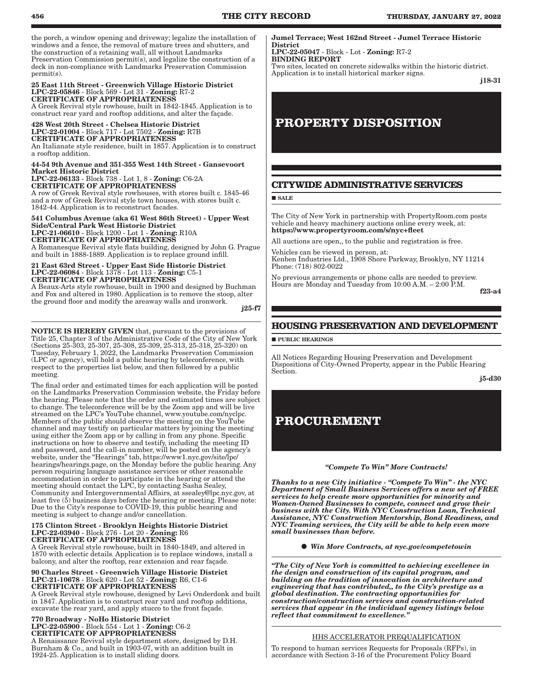the porch, a window opening and driveway; legalize the installation of windows and a fence, the removal of mature trees and shutters, and the construction of a retaining wall, all without Landmarks Preservation Commission permit(s), and legalize the construction of a deck in non-compliance with Landmarks Preservation Commission permit(s).

#### 25 East 11th Street - Greenwich Village Historic District LPC-22-05846 - Block 569 - Lot 31 - Zoning: R7-2 CERTIFICATE OF APPROPRIATENESS

A Greek Revival style rowhouse, built in 1842-1845. Application is to construct rear yard and rooftop additions, and alter the façade.

#### 428 West 20th Street - Chelsea Historic District LPC-22-01004 - Block 717 - Lot 7502 - Zoning: R7B CERTIFICATE OF APPROPRIATENESS

An Italianate style residence, built in 1857. Application is to construct a rooftop addition.

#### 44-54 9th Avenue and 351-355 West 14th Street - Gansevoort Market Historic District

LPC-22-06133 - Block 738 - Lot 1, 8 - Zoning: C6-2A CERTIFICATE OF APPROPRIATENESS

A row of Greek Revival style rowhouses, with stores built c. 1845-46 and a row of Greek Revival style town houses, with stores built c. 1842-44. Application is to reconstruct facades.

#### 541 Columbus Avenue (aka 61 West 86th Street) - Upper West Side/Central Park West Historic District LPC-21-06610 - Block 1200 - Lot 1 - Zoning: R10A CERTIFICATE OF APPROPRIATENESS

A Romanesque Revival style flats building, designed by John G. Prague and built in 1888-1889. Application is to replace ground infill.

#### 21 East 63rd Street - Upper East Side Historic District LPC-22-06084 - Block 1378 - Lot 113 - Zoning: C5-1 CERTIFICATE OF APPROPRIATENESS

A Beaux-Arts style rowhouse, built in 1900 and designed by Buchman and Fox and altered in 1980. Application is to remove the stoop, alter the ground floor and modify the areaway walls and ironwork.

j25-f7

NOTICE IS HEREBY GIVEN that, pursuant to the provisions of Title 25, Chapter 3 of the Administrative Code of the City of New York (Sections 25-303, 25-307, 25-308, 25-309, 25-313, 25-318, 25-320) on Tuesday, February 1, 2022, the Landmarks Preservation Commission (LPC or agency), will hold a public hearing by teleconference, with respect to the properties list below, and then followed by a public meeting.

The final order and estimated times for each application will be posted on the Landmarks Preservation Commission website, the Friday before the hearing. Please note that the order and estimated times are subject to change. The teleconference will be by the Zoom app and will be live streamed on the LPC's YouTube channel, www.youtube.com/nyclpc. Members of the public should observe the meeting on the YouTube channel and may testify on particular matters by joining the meeting using either the Zoom app or by calling in from any phone. Specific instructions on how to observe and testify, including the meeting ID and password, and the call-in number, will be posted on the agency's website, under the "Hearings" tab, https://www1.nyc.gov/site/lpc/ hearings/hearings.page, on the Monday before the public hearing. Any person requiring language assistance services or other reasonable accommodation in order to participate in the hearing or attend the meeting should contact the LPC, by contacting Sasha Sealey, Community and Intergovernmental Affairs, at ssealey@lpc.nyc.gov, at least five (5) business days before the hearing or meeting. Please note: Due to the City's response to COVID-19, this public hearing and meeting is subject to change and/or cancellation.

#### 175 Clinton Street - Brooklyn Heights Historic District LPC-22-03940 - Block 276 - Lot 20 - Zoning: R6 CERTIFICATE OF APPROPRIATENESS

A Greek Revival style rowhouse, built in 1840-1849, and altered in 1870 with eclectic details. Application is to replace windows, install a balcony, and alter the rooftop, rear extension and rear façade.

#### 90 Charles Street - Greenwich Village Historic District LPC-21-10678 - Block 620 - Lot 52 - Zoning: R6, C1-6 CERTIFICATE OF APPROPRIATENESS

A Greek Revival style rowhouse, designed by Levi Onderdonk and built in 1847. Application is to construct rear yard and rooftop additions, excavate the rear yard, and apply stucco to the front façade.

#### 770 Broadway - NoHo Historic District LPC-22-05900 - Block 554 - Lot 1 - Zoning: C6-2 CERTIFICATE OF APPROPRIATENESS

A Renaissance Revival style department store, designed by D.H. Burnham & Co., and built in 1903-07, with an addition built in 1924-25. Application is to install sliding doors.

Jumel Terrace; West 162nd Street - Jumel Terrace Historic District

LPC-22-05047 - Block - Lot - Zoning: R7-2 BINDING REPORT

Two sites, located on concrete sidewalks within the historic district. Application is to install historical marker signs.

j18-31

# **PROPERTY DISPOSITION**

## **CITYWIDE ADMINISTRATIVE SERVICES**

**SALE** 

The City of New York in partnership with PropertyRoom.com posts vehicle and heavy machinery auctions online every week, at: https://www.propertyroom.com/s/nyc+fleet

All auctions are open,, to the public and registration is free. Vehicles can be viewed in person, at:

Kenben Industries Ltd., 1908 Shore Parkway, Brooklyn, NY 11214 Phone: (718) 802-0022

No previous arrangements or phone calls are needed to preview. Hours are Monday and Tuesday from 10:00 A.M. – 2:00 P.M.

f23-a4

## **HOUSING PRESERVATION AND DEVELOPMENT**

**PUBLIC HEARINGS** 

All Notices Regarding Housing Preservation and Development Dispositions of City-Owned Property, appear in the Public Hearing Section.

j5-d30

# **PROCUREMENT**

#### *"Compete To Win" More Contracts!*

*Thanks to a new City initiative - "Compete To Win" - the NYC Department of Small Business Services offers a new set of FREE services to help create more opportunities for minority and Women-Owned Businesses to compete, connect and grow their business with the City. With NYC Construction Loan, Technical Assistance, NYC Construction Mentorship, Bond Readiness, and NYC Teaming services, the City will be able to help even more small businesses than before.*

*Win More Contracts, at nyc.gov/competetowin*

*"The City of New York is committed to achieving excellence in the design and construction of its capital program, and building on the tradition of innovation in architecture and engineering that has contributed,, to the City's prestige as a global destination. The contracting opportunities for construction/construction services and construction-related services that appear in the individual agency listings below reflect that commitment to excellence."*

## HHS ACCELERATOR PREQUALIFICATION

To respond to human services Requests for Proposals (RFPs), in accordance with Section 3-16 of the Procurement Policy Board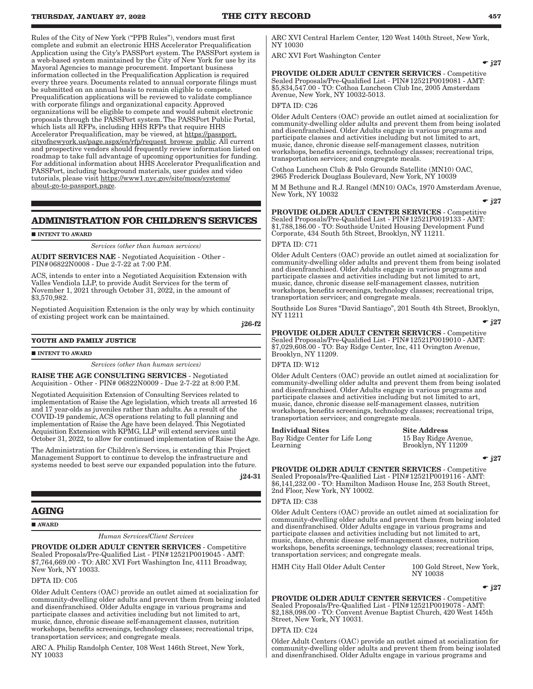Rules of the City of New York ("PPB Rules"), vendors must first complete and submit an electronic HHS Accelerator Prequalification Application using the City's PASSPort system. The PASSPort system is a web-based system maintained by the City of New York for use by its Mayoral Agencies to manage procurement. Important business information collected in the Prequalification Application is required every three years. Documents related to annual corporate filings must be submitted on an annual basis to remain eligible to compete. Prequalification applications will be reviewed to validate compliance with corporate filings and organizational capacity. Approved organizations will be eligible to compete and would submit electronic proposals through the PASSPort system. The PASSPort Public Portal, which lists all RFPs, including HHS RFPs that require HHS Accelerator Prequalification, may be viewed, at https://passport. cityofnewyork.us/page.aspx/en/rfp/request\_browse\_public. All current and prospective vendors should frequently review information listed on roadmap to take full advantage of upcoming opportunities for funding. For additional information about HHS Accelerator Prequalification and PASSPort, including background materials, user guides and video tutorials, please visit https://www1.nyc.gov/site/mocs/systems/ about-go-to-passport.page.

## **ADMINISTRATION FOR CHILDREN'S SERVICES**

#### **INTENT TO AWARD**

*Services (other than human services)*

AUDIT SERVICES NAE - Negotiated Acquisition - Other - PIN#06822N0008 - Due 2-7-22 at 7:00 P.M.

ACS, intends to enter into a Negotiated Acquisition Extension with Valles Vendiola LLP, to provide Audit Services for the term of November 1, 2021 through October 31, 2022, in the amount of \$3,570,982.

Negotiated Acquisition Extension is the only way by which continuity of existing project work can be maintained.

j26-f2

## **YOUTH AND FAMILY JUSTICE**

#### **INTENT TO AWARD**

*Services (other than human services)*

RAISE THE AGE CONSULTING SERVICES - Negotiated Acquisition - Other - PIN# 06822N0009 - Due 2-7-22 at 8:00 P.M.

Negotiated Acquisition Extension of Consulting Services related to implementation of Raise the Age legislation, which treats all arrested 16 and 17 year-olds as juveniles rather than adults. As a result of the COVID-19 pandemic, ACS operations relating to full planning and implementation of Raise the Age have been delayed. This Negotiated Acquisition Extension with KPMG, LLP will extend services until October 31, 2022, to allow for continued implementation of Raise the Age.

The Administration for Children's Services, is extending this Project Management Support to continue to develop the infrastructure and systems needed to best serve our expanded population into the future.

j24-31

## **AGING**

**AWARD** 

*Human Services*/*Client Services*

PROVIDE OLDER ADULT CENTER SERVICES - Competitive Sealed Proposals/Pre-Qualified List - PIN#12521P0019045 - AMT: \$7,764,669.00 - TO: ARC XVI Fort Washington Inc, 4111 Broadway, New York, NY 10033.

DFTA ID: C05

Older Adult Centers (OAC) provide an outlet aimed at socialization for community-dwelling older adults and prevent them from being isolated and disenfranchised. Older Adults engage in various programs and participate classes and activities including but not limited to art, music, dance, chronic disease self-management classes, nutrition workshops, benefits screenings, technology classes; recreational trips, transportation services; and congregate meals.

ARC A. Philip Randolph Center, 108 West 146th Street, New York, NY 10033

ARC XVI Central Harlem Center, 120 West 140th Street, New York, NY 10030

ARC XVI Fort Washington Center

 $-$  j27

PROVIDE OLDER ADULT CENTER SERVICES - Competitive Sealed Proposals/Pre-Qualified List - PIN#12521P0019081 - AMT: \$5,834,547.00 - TO: Cothoa Luncheon Club Inc, 2005 Amsterdam Avenue, New York, NY 10032-5013.

## DFTA ID: C26

Older Adult Centers (OAC) provide an outlet aimed at socialization for community-dwelling older adults and prevent them from being isolated and disenfranchised. Older Adults engage in various programs and participate classes and activities including but not limited to art, music, dance, chronic disease self-management classes, nutrition workshops, benefits screenings, technology classes; recreational trips, transportation services; and congregate meals.

Cothoa Luncheon Club & Polo Grounds Satellite (MN10) OAC, 2965 Frederick Douglass Boulevard, New York, NY 10039

M M Bethune and R.J. Rangel (MN10) OACs, 1970 Amsterdam Avenue, New York, NY 10032

 $\div$  j27

PROVIDE OLDER ADULT CENTER SERVICES - Competitive Sealed Proposals/Pre-Qualified List - PIN#12521P0019133 - AMT: \$1,788,186.00 - TO: Southside United Housing Development Fund Corporate, 434 South 5th Street, Brooklyn, NY 11211.

#### DFTA ID: C71

Older Adult Centers (OAC) provide an outlet aimed at socialization for community-dwelling older adults and prevent them from being isolated and disenfranchised. Older Adults engage in various programs and participate classes and activities including but not limited to art, music, dance, chronic disease self-management classes, nutrition workshops, benefits screenings, technology classes; recreational trips, transportation services; and congregate meals.

Southside Los Sures "David Santiago", 201 South 4th Street, Brooklyn, NY 11211

 $\div$  i27

#### PROVIDE OLDER ADULT CENTER SERVICES - Competitive Sealed Proposals/Pre-Qualified List - PIN#12521P0019010 - AMT: \$7,029,608.00 - TO: Bay Ridge Center, Inc, 411 Ovington Avenue, Brooklyn, NY 11209.

DFTA ID: W12

Older Adult Centers (OAC) provide an outlet aimed at socialization for community-dwelling older adults and prevent them from being isolated and disenfranchised. Older Adults engage in various programs and participate classes and activities including but not limited to art, music, dance, chronic disease self-management classes, nutrition workshops, benefits screenings, technology classes; recreational trips, transportation services; and congregate meals.

#### Individual Sites Site Address

Bay Ridge Center for Life Long Learning

15 Bay Ridge Avenue, Brooklyn, NY 11209

 $\div$  j27

PROVIDE OLDER ADULT CENTER SERVICES - Competitive Sealed Proposals/Pre-Qualified List - PIN#12521P0019116 - AMT:

\$6,141,232.00 - TO: Hamilton Madison House Inc, 253 South Street, 2nd Floor, New York, NY 10002.

DFTA ID: C38

Older Adult Centers (OAC) provide an outlet aimed at socialization for community-dwelling older adults and prevent them from being isolated and disenfranchised. Older Adults engage in various programs and participate classes and activities including but not limited to art, music, dance, chronic disease self-management classes, nutrition workshops, benefits screenings, technology classes; recreational trips, transportation services; and congregate meals.

HMH City Hall Older Adult Center 100 Gold Street, New York,

NY 10038

 $\div$  j27

## PROVIDE OLDER ADULT CENTER SERVICES - Competitive

Sealed Proposals/Pre-Qualified List - PIN#12521P0019078 - AMT: \$2,188,098.00 - TO: Convent Avenue Baptist Church, 420 West 145th Street, New York, NY 10031.

DFTA ID: C24

Older Adult Centers (OAC) provide an outlet aimed at socialization for community-dwelling older adults and prevent them from being isolated and disenfranchised. Older Adults engage in various programs and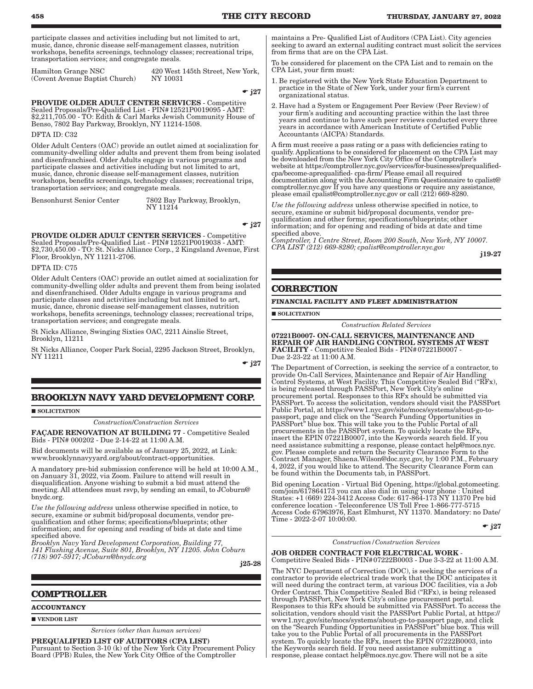participate classes and activities including but not limited to art, music, dance, chronic disease self-management classes, nutrition workshops, benefits screenings, technology classes; recreational trips, transportation services; and congregate meals.

Hamilton Grange NSC (Covent Avenue Baptist Church)

420 West 145th Street, New York, NY 10031

 $-$  j27

PROVIDE OLDER ADULT CENTER SERVICES - Competitive Sealed Proposals/Pre-Qualified List - PIN#12521P0019095 - AMT: \$2,211,705.00 - TO: Edith & Carl Marks Jewish Community House of Benso, 7802 Bay Parkway, Brooklyn, NY 11214-1508.

DFTA ID: C32

Older Adult Centers (OAC) provide an outlet aimed at socialization for community-dwelling older adults and prevent them from being isolated and disenfranchised. Older Adults engage in various programs and participate classes and activities including but not limited to art, music, dance, chronic disease self-management classes, nutrition workshops, benefits screenings, technology classes; recreational trips, transportation services; and congregate meals.

Bensonhurst Senior Center 7802 Bay Parkway, Brooklyn, NY 11214

PROVIDE OLDER ADULT CENTER SERVICES - Competitive Sealed Proposals/Pre-Qualified List - PIN#12521P0019038 - AMT: \$2,730,450.00 - TO: St. Nicks Alliance Corp., 2 Kingsland Avenue, First Floor, Brooklyn, NY 11211-2706.

DFTA ID: C75

Older Adult Centers (OAC) provide an outlet aimed at socialization for community-dwelling older adults and prevent them from being isolated and disenfranchised. Older Adults engage in various programs and participate classes and activities including but not limited to art, music, dance, chronic disease self-management classes, nutrition workshops, benefits screenings, technology classes; recreational trips, transportation services; and congregate meals.

St Nicks Alliance, Swinging Sixties OAC, 2211 Ainslie Street, Brooklyn, 11211

St Nicks Alliance, Cooper Park Social, 2295 Jackson Street, Brooklyn, NY 11211

 $-$  j27

## **BROOKLYN NAVY YARD DEVELOPMENT CORP.**

**SOLICITATION** 

*Construction*/*Construction Services*

FAÇADE RENOVATION AT BUILDING 77 - Competitive Sealed Bids - PIN# 000202 - Due 2-14-22 at 11:00 A.M.

Bid documents will be available as of January 25, 2022, at Link: www.brooklynnavyyard.org/about/contract-opportunities.

A mandatory pre-bid submission conference will be held at 10:00 A.M., on January 31, 2022, via Zoom. Failure to attend will result in disqualification. Anyone wishing to submit a bid must attend the meeting. All attendees must rsvp, by sending an email, to JCoburn@ bnydc.org.

*Use the following address* unless otherwise specified in notice, to secure, examine or submit bid/proposal documents, vendor prequalification and other forms; specifications/blueprints; other information; and for opening and reading of bids at date and time specified above.

*Brooklyn Navy Yard Development Corporation, Building 77, 141 Flushing Avenue, Suite 801, Brooklyn, NY 11205. John Coburn (718) 907-5917; JCoburn@bnydc.org*

j25-28

## **COMPTROLLER**

**ACCOUNTANCY**

**VENDOR LIST** 

*Services (other than human services)*

PREQUALIFIED LIST OF AUDITORS (CPA LIST) Pursuant to Section 3-10 (k) of the New York City Procurement Policy Board (PPB) Rules, the New York City Office of the Comptroller

maintains a Pre- Qualified List of Auditors (CPA List). City agencies seeking to award an external auditing contract must solicit the services from firms that are on the CPA List.

To be considered for placement on the CPA List and to remain on the CPA List, your firm must:

- 1. Be registered with the New York State Education Department to practice in the State of New York, under your firm's current organizational status.
- 2. Have had a System or Engagement Peer Review (Peer Review) of your firm's auditing and accounting practice within the last three years and continue to have such peer reviews conducted every three years in accordance with American Institute of Certified Public Accountants (AICPA) Standards.

A firm must receive a pass rating or a pass with deficiencies rating to qualify. Applications to be considered for placement on the CPA List may be downloaded from the New York City Office of the Comptroller's website at https://comptroller.nyc.gov/services/for-businesses/prequalifiedcpa/become-aprequalified- cpa-firm/ Please email all required documentation along with the Accounting Firm Questionnaire to cpalist@ comptroller.nyc.gov If you have any questions or require any assistance, please email cpalist@comptroller.nyc.gov or call (212) 669-8280.

*Use the following address* unless otherwise specified in notice, to secure, examine or submit bid/proposal documents, vendor prequalification and other forms; specifications/blueprints; other information; and for opening and reading of bids at date and time specified above.

*Comptroller, 1 Centre Street, Room 200 South, New York, NY 10007. CPA LIST (212) 669-8280; cpalist@comptroller.nyc.gov*

j19-27

## **CORRECTION**

#### **FINANCIAL FACILITY AND FLEET ADMINISTRATION**

**SOLICITATION** 

*Construction Related Services*

07221B0007- ON-CALL SERVICES, MAINTENANCE AND REPAIR OF AIR HANDLING CONTROL SYSTEMS AT WEST FACILITY - Competitive Sealed Bids - PIN#07221B0007 - Due 2-23-22 at 11:00 A.M.

The Department of Correction, is seeking the service of a contractor, to provide On-Call Services, Maintenance and Repair of Air Handling Control Systems, at West Facility. This Competitive Sealed Bid ("RFx), is being released through PASSPort, New York City's online procurement portal. Responses to this RFx should be submitted via PASSPort. To access the solicitation, vendors should visit the PASSPort Public Portal, at https://www1.nyc.gov/site/mocs/systems/about-go-topassport, page and click on the "Search Funding Opportunities in PASSPort" blue box. This will take you to the Public Portal of all procurements in the PASSPort system. To quickly locate the RFx, insert the EPIN 07221B0007, into the Keywords search field. If you need assistance submitting a response, please contact help@mocs.nyc. gov. Please complete and return the Security Clearance Form to the Contract Manager, Shaena.Wilson@doc.nyc.gov, by 1:00 P.M., February 4, 2022, if you would like to attend. The Security Clearance Form can be found within the Documents tab, in PASSPort.

Bid opening Location - Virtual Bid Opening, https://global.gotomeeting. com/join/617864173 you can also dial in using your phone : United States: +1 (669) 224-3412 Access Code: 617-864-173 NY 11370 Pre bid conference location - Teleconference US Toll Free 1-866-777-5715 Access Code 67963976, East Elmhurst, NY 11370. Mandatory: no Date/ Time - 2022-2-07 10:00:00.

 $\div$  j27

*Construction/Construction Services*

JOB ORDER CONTRACT FOR ELECTRICAL WORK - Competitive Sealed Bids - PIN#07222B0003 - Due 3-3-22 at 11:00 A.M.

The NYC Department of Correction (DOC), is seeking the services of a contractor to provide electrical trade work that the DOC anticipates it will need during the contract term, at various DOC facilities, via a Job Order Contract. This Competitive Sealed Bid ("RFx), is being released through PASSPort, New York City's online procurement portal. Responses to this RFx should be submitted via PASSPort. To access the solicitation, vendors should visit the PASSPort Public Portal, at https:// www1.nyc.gov/site/mocs/systems/about-go-to-passport page, and click on the "Search Funding Opportunities in PASSPort" blue box. This will take you to the Public Portal of all procurements in the PASSPort system. To quickly locate the RFx, insert the EPIN 07222B0003, into the Keywords search field. If you need assistance submitting a response, please contact help@mocs.nyc.gov. There will not be a site

 $\div$  j27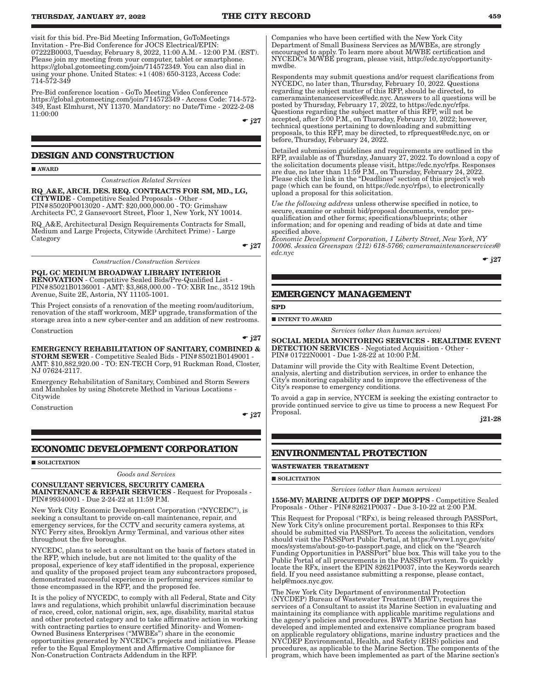visit for this bid. Pre-Bid Meeting Information, GoToMeetings Invitation - Pre-Bid Conference for JOCS Electrical/EPIN: 07222B0003, Tuesday, February 8, 2022, 11:00 A.M. - 12:00 P.M. (EST). Please join my meeting from your computer, tablet or smartphone. https://global.gotomeeting.com/join/714572349. You can also dial in using your phone. United States: +1 (408) 650-3123, Access Code: 714-572-349

Pre-Bid conference location - GoTo Meeting Video Conference https://global.gotomeeting.com/join/714572349 - Access Code: 714-572- 349, East Elmhurst, NY 11370. Mandatory: no Date/Time - 2022-2-08 11:00:00

 $\div$  i27

## **DESIGN AND CONSTRUCTION**

**AWARD** 

*Construction Related Services*

RQ\_A&E, ARCH. DES. REQ. CONTRACTS FOR SM, MD., LG, CITYWIDE - Competitive Sealed Proposals - Other - PIN#85020P0013020 - AMT: \$20,000,000.00 - TO: Grimshaw Architects PC, 2 Gansevoort Street, Floor 1, New York, NY 10014.

RQ\_A&E, Architectural Design Requirements Contracts for Small, Medium and Large Projects, Citywide (Architect Prime) - Large Category

 $\div$  j27

*Construction/Construction Services*

PQL GC MEDIUM BROADWAY LIBRARY INTERIOR RENOVATION - Competitive Sealed Bids/Pre-Qualified List - PIN#85021B0136001 - AMT: \$3,868,000.00 - TO: XBR Inc., 3512 19th Avenue, Suite 2E, Astoria, NY 11105-1001.

This Project consists of a renovation of the meeting room/auditorium, renovation of the staff workroom, MEP upgrade, transformation of the storage area into a new cyber-center and an addition of new restrooms.

Construction

 $-$  j27

EMERGENCY REHABILITATION OF SANITARY, COMBINED & STORM SEWER - Competitive Sealed Bids - PIN#85021B0149001 - AMT: \$10,882,920.00 - TO: EN-TECH Corp, 91 Ruckman Road, Closter, NJ 07624-2117.

Emergency Rehabilitation of Sanitary, Combined and Storm Sewers and Manholes by using Shotcrete Method in Various Locations - Citywide

Construction

 $\div$  j27

## **ECONOMIC DEVELOPMENT CORPORATION**

SOLICITATION

# *Goods and Services*

CONSULTANT SERVICES, SECURITY CAMERA MAINTENANCE & REPAIR SERVICES - Request for Proposals - PIN#99340001 - Due 2-24-22 at 11:59 P.M.

New York City Economic Development Corporation ("NYCEDC"), is seeking a consultant to provide on-call maintenance, repair, and emergency services, for the CCTV and security camera systems, at NYC Ferry sites, Brooklyn Army Terminal, and various other sites throughout the five boroughs.

NYCEDC, plans to select a consultant on the basis of factors stated in the RFP, which include, but are not limited to: the quality of the proposal, experience of key staff identified in the proposal, experience and quality of the proposed project team any subcontractors proposed, demonstrated successful experience in performing services similar to those encompassed in the RFP, and the proposed fee.

It is the policy of NYCEDC, to comply with all Federal, State and City laws and regulations, which prohibit unlawful discrimination because of race, creed, color, national origin, sex, age, disability, marital status and other protected category and to take affirmative action in working with contracting parties to ensure certified Minority- and Women-Owned Business Enterprises ("MWBEs") share in the economic opportunities generated by NYCEDC's projects and initiatives. Please refer to the Equal Employment and Affirmative Compliance for Non-Construction Contracts Addendum in the RFP.

Companies who have been certified with the New York City Department of Small Business Services as M/WBEs, are strongly encouraged to apply. To learn more about M/WBE certification and NYCEDC's M/WBE program, please visit, http://edc.nyc/opportunitymwdbe.

Respondents may submit questions and/or request clarifications from NYCEDC, no later than, Thursday, February 10, 2022. Questions regarding the subject matter of this RFP, should be directed, to cameramaintenanceservices@edc.nyc. Answers to all questions will be posted by Thursday, February 17, 2022, to https://edc.nyc/rfps. Questions regarding the subject matter of this RFP, will not be accepted, after 5:00 P.M., on Thursday, February 10, 2022; however, technical questions pertaining to downloading and submitting proposals, to this RFP, may be directed, to rfprequest@edc.nyc, on or before, Thursday, February 24, 2022.

Detailed submission guidelines and requirements are outlined in the RFP, available as of Thursday, January 27, 2022. To download a copy of the solicitation documents please visit, https://edc.nyc/rfps. Responses are due, no later than 11:59 P.M., on Thursday, February 24, 2022. Please click the link in the "Deadlines" section of this project's web page (which can be found, on https://edc.nyc/rfps), to electronically upload a proposal for this solicitation.

*Use the following address* unless otherwise specified in notice, to secure, examine or submit bid/proposal documents, vendor prequalification and other forms; specifications/blueprints; other information; and for opening and reading of bids at date and time specified above.

*Economic Development Corporation, 1 Liberty Street, New York, NY 10006. Jessica Greenspan (212) 618-5766; cameramaintenanceservices@ edc.nyc*

 $\div$  j27

## **EMERGENCY MANAGEMENT**

**SPD**

**INTENT TO AWARD** 

*Services (other than human services)*

SOCIAL MEDIA MONITORING SERVICES - REALTIME EVENT DETECTION SERVICES - Negotiated Acquisition - Other - PIN# 01722N0001 - Due 1-28-22 at 10:00 P.M.

Dataminr will provide the City with Realtime Event Detection, analysis, alerting and distribution services, in order to enhance the City's monitoring capability and to improve the effectiveness of the City's response to emergency conditions.

To avoid a gap in service, NYCEM is seeking the existing contractor to provide continued service to give us time to process a new Request For Proposal.

j21-28

## **ENVIRONMENTAL PROTECTION**

**WASTEWATER TREATMENT**

#### **SOLICITATION**

*Services (other than human services)*

1556-MV: MARINE AUDITS OF DEP MOPPS - Competitive Sealed Proposals - Other - PIN#82621P0037 - Due 3-10-22 at 2:00 P.M.

This Request for Proposal ("RFx), is being released through PASSPort, New York City's online procurement portal. Responses to this RFx should be submitted via PASSPort. To access the solicitation, vendors should visit the PASSPort Public Portal, at https://www1.nyc.gov/site/ mocs/systems/about-go-to-passport.page, and click on the "Search Funding Opportunities in PASSPort" blue box. This will take you to the Public Portal of all procurements in the PASSPort system. To quickly locate the RFx, insert the EPIN 82621P0037, into the Keywords search field. If you need assistance submitting a response, please contact, help@mocs.nyc.gov.

The New York City Department of environmental Protection (NYCDEP) Bureau of Wastewater Treatment (BWT), requires the services of a Consultant to assist its Marine Section in evaluating and maintaining its compliance with applicable maritime regulations and the agency's policies and procedures. BWT's Marine Section has developed and implemented and extensive compliance program based on applicable regulatory obligations, marine industry practices and the NYCDEP Environmental, Health, and Safety (EHS) policies and procedures, as applicable to the Marine Section. The components of the program, which have been implemented as part of the Marine section's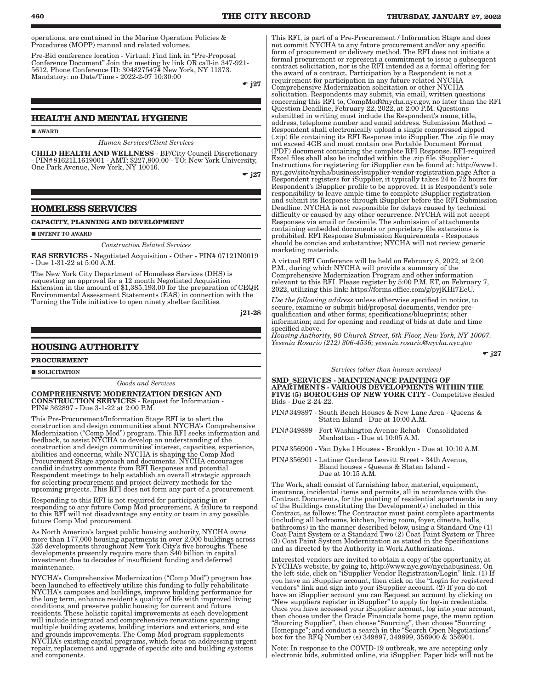operations, are contained in the Marine Operation Policies & Procedures (MOPP) manual and related volumes.

Pre-Bid conference location - Virtual: Find link in "Pre-Proposal Conference Document" Join the meeting by link OR call-in 347-921- 5612, Phone Conference ID: 304827547# New York, NY 11373. Mandatory: no Date/Time - 2022-2-07 10:30:00

 $\div$  i27

## **HEALTH AND MENTAL HYGIENE**

AWARD

*Human Services*/*Client Services*

CHILD HEALTH AND WELLNESS - BP/City Council Discretionary - PIN#81621L1619001 - AMT: \$227,800.00 - TO: New York University, One Park Avenue, New York, NY 10016.

 $\div$  i27

#### **HOMELESS SERVICES**

#### **CAPACITY, PLANNING AND DEVELOPMENT**

**INTENT TO AWARD** 

*Construction Related Services*

EAS SERVICES - Negotiated Acquisition - Other - PIN# 07121N0019 - Due 1-31-22 at 5:00 A.M.

The New York City Department of Homeless Services (DHS) is requesting an approval for a 12 month Negotiated Acquisition Extension in the amount of \$1,385,193.00 for the preparation of CEQR Environmental Assessment Statements (EAS) in connection with the Turning the Tide initiative to open ninety shelter facilities.

j21-28

## **HOUSING AUTHORITY**

**PROCUREMENT**

 $\blacksquare$  SOLICITATION

*Goods and Services*

COMPREHENSIVE MODERNIZATION DESIGN AND CONSTRUCTION SERVICES - Request for Information - PIN# 362897 - Due 3-1-22 at 2:00 P.M.

This Pre-Procurement/Information Stage RFI is to alert the construction and design communities about NYCHA's Comprehensive Modernization ("Comp Mod") program. This RFI seeks information and feedback, to assist NYCHA to develop an understanding of the construction and design communities' interest, capacities, experience, abilities and concerns, while NYCHA is shaping the Comp Mod Procurement Stage approach and documents. NYCHA encourages candid industry comments from RFI Responses and potential Respondent meetings to help establish an overall strategic approach for selecting procurement and project delivery methods for the upcoming projects. This RFI does not form any part of a procurement.

Responding to this RFI is not required for participating in or responding to any future Comp Mod procurement. A failure to respond to this RFI will not disadvantage any entity or team in any possible future Comp Mod procurement.

As North America's largest public housing authority, NYCHA owns more than 177,000 housing apartments in over 2,000 buildings across 326 developments throughout New York City's five boroughs. These developments presently require more than \$40 billion in capital investment due to decades of insufficient funding and deferred maintenance.

NYCHA's Comprehensive Modernization ("Comp Mod") program has been launched to effectively utilize this funding to fully rehabilitate NYCHA's campuses and buildings, improve building performance for the long term, enhance resident's quality of life with improved living conditions, and preserve public housing for current and future residents. These holistic capital improvements at each development will include integrated and comprehensive renovations spanning multiple building systems, building interiors and exteriors, and site and grounds improvements. The Comp Mod program supplements NYCHA's existing capital programs, which focus on addressing urgent repair, replacement and upgrade of specific site and building systems and components.

This RFI, is part of a Pre-Procurement / Information Stage and does not commit NYCHA to any future procurement and/or any specific form of procurement or delivery method. The RFI does not initiate a formal procurement or represent a commitment to issue a subsequent contract solicitation, nor is the RFI intended as a formal offering for the award of a contract. Participation by a Respondent is not a requirement for participation in any future related NYCHA Comprehensive Modernization solicitation or other NYCHA solicitation. Respondents may submit, via email, written questions concerning this RFI to, CompMod@nycha.nyc.gov, no later than the RFI Question Deadline, February 22, 2022, at 2:00 P.M. Questions submitted in writing must include the Respondent's name, title, address, telephone number and email address. Submission Method – Respondent shall electronically upload a single compressed zipped (.zip) file containing its RFI Response into iSupplier. The .zip file may not exceed 4GB and must contain one Portable Document Format (PDF) document containing the complete RFI Response. RFI-required Excel files shall also be included within the .zip file. iSupplier - Instructions for registering for iSupplier can be found at: http://www1. nyc.gov/site/nycha/business/isupplier-vendor-registration.page After a Respondent registers for iSupplier, it typically takes 24 to 72 hours for Respondent's iSupplier profile to be approved. It is Respondent's sole responsibility to leave ample time to complete iSupplier registration and submit its Response through iSupplier before the RFI Submission Deadline. NYCHA is not responsible for delays caused by technical difficulty or caused by any other occurrence. NYCHA will not accept Responses via email or facsimile. The submission of attachments containing embedded documents or proprietary file extensions is prohibited. RFI Response Submission Requirements - Responses should be concise and substantive; NYCHA will not review generic marketing materials.

A virtual RFI Conference will be held on February 8, 2022, at 2:00 P.M., during which NYCHA will provide a summary of the Comprehensive Modernization Program and other information relevant to this RFI. Please register by 5:00 P.M. ET, on February 7, 2022, utilizing this link: https://forms.office.com/g/pyjKHi7EeU.

*Use the following address* unless otherwise specified in notice, to secure, examine or submit bid/proposal documents, vendor prequalification and other forms; specifications/blueprints; other information; and for opening and reading of bids at date and time specified above.

*Housing Authority, 90 Church Street, 6th Floor, New York, NY 10007. Yesenia Rosario (212) 306-4536; yesenia.rosario@nycha.nyc.gov*

 $\div$  j27

#### *Services (other than human services)*

SMD\_SERVICES - MAINTENANCE PAINTING OF APARTMENTS - VARIOUS DEVELOPMENTS WITHIN THE FIVE (5) BOROUGHS OF NEW YORK CITY - Competitive Sealed Bids - Due 2-24-22.

PIN#349897 - South Beach Houses & New Lane Area - Queens & Staten Island - Due at 10:00 A.M.

- PIN#349899 Fort Washington Avenue Rehab Consolidated Manhattan - Due at 10:05 A.M.
- PIN#356900 Van Dyke I Houses Brooklyn Due at 10:10 A.M.

PIN#356901 - Latiner Gardens Leavitt Street - 34th Avenue, Bland houses - Queens & Staten Island - Due at 10:15 A.M.

The Work, shall consist of furnishing labor, material, equipment, insurance, incidental items and permits, all in accordance with the Contract Documents, for the painting of residential apartments in any of the Buildings constituting the Development(s) included in this Contract, as follows: The Contractor must paint complete apartments (including all bedrooms, kitchen, living room, foyer, dinette, halls, bathrooms) in the manner described below, using a Standard One (1) Coat Paint System or a Standard Two (2) Coat Paint System or Three (3) Coat Paint System Modernization as stated in the Specifications and as directed by the Authority in Work Authorizations.

Interested vendors are invited to obtain a copy of the opportunity, at NYCHA's website, by going to, http://www.nyc.gov/nychabusiness. On the left side, click on "iSupplier Vendor Registration/Login" link. (1) If you have an iSupplier account, then click on the "Login for registered vendors" link and sign into your iSupplier account. (2) If you do not have an iSupplier account you can Request an account by clicking on "New suppliers register in iSupplier" to apply for log-in credentials. Once you have accessed your iSupplier account, log into your account, then choose under the Oracle Financials home page, the menu option "Sourcing Supplier", then choose "Sourcing", then choose "Sourcing Homepage"; and conduct a search in the "Search Open Negotiations" box for the RFQ Number (s) 349897, 349899, 356900 & 356901.

Note: In response to the COVID-19 outbreak, we are accepting only electronic bids, submitted online, via iSupplier. Paper bids will not be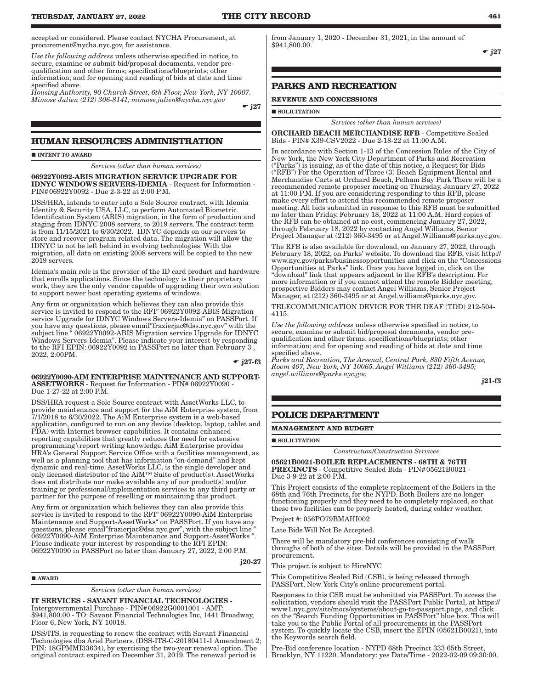accepted or considered. Please contact NYCHA Procurement, at procurement@nycha.nyc.gov, for assistance.

*Use the following address* unless otherwise specified in notice, to secure, examine or submit bid/proposal documents, vendor prequalification and other forms; specifications/blueprints; other information; and for opening and reading of bids at date and time specified above.

*Housing Authority, 90 Church Street, 6th Floor, New York, NY 10007. Mimose Julien (212) 306-8141; mimose.julien@nycha.nyc.gov*

 $\div$  j27

## **HUMAN RESOURCES ADMINISTRATION**

**INTENT TO AWARD** 

*Services (other than human services)*

06922Y0092-ABIS MIGRATION SERVICE UPGRADE FOR IDNYC WINDOWS SERVERS-IDEMIA - Request for Information - PIN#06922Y0092 - Due 2-3-22 at 2:00 P.M.

DSS/HRA, intends to enter into a Sole Source contract, with Idemia Identity & Security USA, LLC, to perform Automated Biometric Identification System (ABIS) migration, in the form of production and staging from IDNYC 2008 servers, to 2019 servers. The contract term is from 11/15/2021 to 6/30/2022. IDNYC depends on our servers to store and recover program related data. The migration will allow the IDNYC to not be left behind in evolving technologies. With the migration, all data on existing 2008 servers will be copied to the new 2019 servers.

Idemia's main role is the provider of the ID card product and hardware that enrolls applications. Since the technology is their proprietary work, they are the only vendor capable of upgrading their own solution to support newer host operating systems of windows.

Any firm or organization which believes they can also provide this service is invited to respond to the RFI" 06922Y0092-ABIS Migration service Upgrade for IDNYC Windows Servers-Idemia" on PASSPort. If you have any questions, please email"frazierjac@dss.nyc.gov" with the subject line " 06922Y0092-ABIS Migration service Upgrade for IDNYC Windows Servers-Idemia". Please indicate your interest by responding to the RFI EPIN: 06922Y0092 in PASSPort no later than February 3 , 2022, 2:00PM.

 $-127-f3$ 

j20-27

06922Y0090-AIM ENTERPRISE MAINTENANCE AND SUPPORT-ASSETWORKS - Request for Information - PIN# 06922Y0090 - Due 1-27-22 at 2:00 P.M.

DSS/HRA request a Sole Source contract with AssetWorks LLC, to provide maintenance and support for the AiM Enterprise system, from 7/1/2018 to 6/30/2022. The AiM Enterprise system is a web-based application, configured to run on any device (desktop, laptop, tablet and PDA) with Internet browser capabilities. It contains enhanced reporting capabilities that greatly reduces the need for extensive programming\report writing knowledge. AiM Enterprise provides HRA's General Support Service Office with a facilities management, as well as a planning tool that has information "on-demand" and kept dynamic and real-time. AssetWorks LLC, is the single developer and only licensed distributor of the AiM™ Suite of product(s). AssetWorks does not distribute nor make available any of our product(s) and/or training or professional/implementation services to any third party or partner for the purpose of reselling or maintaining this product.

Any firm or organization which believes they can also provide this service is invited to respond to the RFI" 06922Y0090-AiM Enterprise Maintenance and Support-AssetWorks" on PASSPort. If you have any questions, please email"frazierjac@dss.nyc.gov", with the subject line " 06922Y0090-AiM Enterprise Maintenance and Support-AssetWorks ". Please indicate your interest by responding to the RFI EPIN: 06922Y0090 in PASSPort no later than January 27, 2022, 2:00 P.M.

AWARD

*Services (other than human services)*

IT SERVICES - SAVANT FINANCIAL TECHNOLOGIES - Intergovernmental Purchase - PIN#06922G0001001 - AMT: \$941,800.00 - TO: Savant Financial Technologies Inc, 1441 Broadway, Floor 6, New York, NY 10018.

DSS/ITS, is requesting to renew the contract with Savant Financial Technologies dba Ariel Partners. (DSS-ITS-C-20180411-1 Amendment 2; PIN: 18GPMMI33634), by exercising the two-year renewal option. The original contract expired on December 31, 2019. The renewal period is

from January 1, 2020 - December 31, 2021, in the amount of \$941,800.00.

 $-$  j27

## **PARKS AND RECREATION**

#### **REVENUE AND CONCESSIONS**

**SOLICITATION** 

*Services (other than human services)*

ORCHARD BEACH MERCHANDISE RFB - Competitive Sealed Bids - PIN# X39-CSV2022 - Due 2-18-22 at 11:00 A.M.

In accordance with Section 1-13 of the Concession Rules of the City of New York, the New York City Department of Parks and Recreation ("Parks") is issuing, as of the date of this notice, a Request for Bids ("RFB") For the Operation of Three (3) Beach Equipment Rental and Merchandise Carts at Orchard Beach, Pelham Bay Park There will be a recommended remote proposer meeting on Thursday, January 27, 2022 at 11:00 P.M. If you are considering responding to this RFB, please make every effort to attend this recommended remote proposer meeting. All bids submitted in response to this RFB must be submitted no later than Friday, February 18, 2022 at 11:00 A.M. Hard copies of the RFB can be obtained at no cost, commencing January 27, 2022, through February 18, 2022 by contacting Angel Williams, Senior Project Manager at (212) 360-3495 or at Angel.Williams@parks.nyc.gov.

The RFB is also available for download, on January 27, 2022, through February 18, 2022, on Parks' website. To download the RFB, visit http:// www.nyc.gov/parks/businessopportunities and click on the "Concessions Opportunities at Parks" link. Once you have logged in, click on the "download" link that appears adjacent to the RFB's description. For more information or if you cannot attend the remote Bidder meeting, prospective Bidders may contact Angel Williams, Senior Project Manager, at (212) 360-3495 or at Angel.williams@parks.nyc.gov.

TELECOMMUNICATION DEVICE FOR THE DEAF (TDD) 212-504- 4115.

*Use the following address* unless otherwise specified in notice, to secure, examine or submit bid/proposal documents, vendor prequalification and other forms; specifications/blueprints; other information; and for opening and reading of bids at date and time specified above.

*Parks and Recreation, The Arsenal, Central Park, 830 Fifth Avenue, Room 407, New York, NY 10065. Angel Williams (212) 360-3495; angel.williams@parks.nyc.gov*

j21-f3

## **POLICE DEPARTMENT**

**MANAGEMENT AND BUDGET**

SOLICITATION

*Construction*/*Construction Services*

05621B0021-BOILER REPLACEMENTS - 68TH & 76TH PRECINCTS - Competitive Sealed Bids - PIN#05621B0021 - Due 3-9-22 at 2:00 P.M.

This Project consists of the complete replacement of the Boilers in the 68th and 76th Precincts, for the NYPD. Both Boilers are no longer functioning properly and they need to be completely replaced, so that these two facilities can be properly heated, during colder weather.

Project #: 056PO79BMAHI002

Late Bids Will Not Be Accepted.

There will be mandatory pre-bid conferences consisting of walk throughs of both of the sites. Details will be provided in the PASSPort procurement.

This project is subject to HireNYC

This Competitive Sealed Bid (CSB), is being released through PASSPort, New York City's online procurement portal.

Responses to this CSB must be submitted via PASSPort. To access the solicitation, vendors should visit the PASSPort Public Portal, at https:// www1.nyc.gov/site/mocs/systems/about-go-to-passport.page, and click on the "Search Funding Opportunities in PASSPort" blue box. This will take you to the Public Portal of all procurements in the PASSPort system. To quickly locate the CSB, insert the EPIN (05621B0021), into the Keywords search field.

Pre-Bid conference location - NYPD 68th Precinct 333 65th Street, Brooklyn, NY 11220. Mandatory: yes Date/Time - 2022-02-09 09:30:00.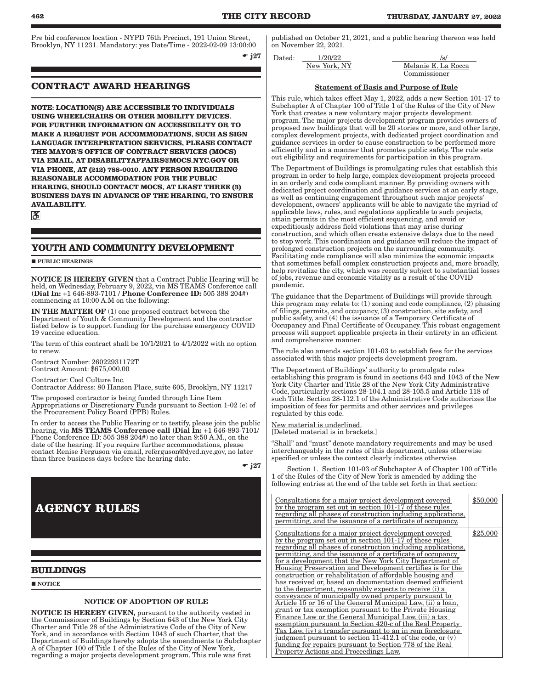Pre bid conference location - NYPD 76th Precinct, 191 Union Street, Brooklyn, NY 11231. Mandatory: yes Date/Time - 2022-02-09 13:00:00

 $-$  j27

## **CONTRACT AWARD HEARINGS**

**NOTE: LOCATION(S) ARE ACCESSIBLE TO INDIVIDUALS USING WHEELCHAIRS OR OTHER MOBILITY DEVICES. FOR FURTHER INFORMATION ON ACCESSIBILITY OR TO MAKE A REQUEST FOR ACCOMMODATIONS, SUCH AS SIGN LANGUAGE INTERPRETATION SERVICES, PLEASE CONTACT THE MAYOR'S OFFICE OF CONTRACT SERVICES (MOCS) VIA EMAIL, AT DISABILITYAFFAIRS@MOCS.NYC.GOV OR VIA PHONE, AT (212) 788-0010. ANY PERSON REQUIRING REASONABLE ACCOMMODATION FOR THE PUBLIC HEARING, SHOULD CONTACT MOCS, AT LEAST THREE (3) BUSINESS DAYS IN ADVANCE OF THE HEARING, TO ENSURE AVAILABILITY.**

 $\mathbf{a}$ 

## **YOUTH AND COMMUNITY DEVELOPMENT**

#### **PUBLIC HEARINGS**

NOTICE IS HEREBY GIVEN that a Contract Public Hearing will be held, on Wednesday, February 9, 2022, via MS TEAMS Conference call (Dial In: +1 646-893-7101 / Phone Conference ID: 505 388 204#) commencing at 10:00 A.M on the following:

IN THE MATTER OF (1) one proposed contract between the Department of Youth & Community Development and the contractor listed below is to support funding for the purchase emergency COVID 19 vaccine education.

The term of this contract shall be 10/1/2021 to 4/1/2022 with no option to renew.

Contract Number: 26022931172T Contract Amount: \$675,000.00

Contractor: Cool Culture Inc. Contractor Address: 80 Hanson Place, suite 605, Brooklyn, NY 11217

The proposed contractor is being funded through Line Item Appropriations or Discretionary Funds pursuant to Section 1-02 (e) of the Procurement Policy Board (PPB) Rules.

In order to access the Public Hearing or to testify, please join the public hearing, via MS TEAMS Conference call (Dial In: +1 646-893-7101/ Phone Conference ID: 505 388 204#) no later than 9:50 A.M., on the date of the hearing. If you require further accommodations, please contact Renise Ferguson via email, referguson@dycd.nyc.gov, no later than three business days before the hearing date.

 $\div$  j27

# **AGENCY RULES**

## **BUILDINGS**

**NOTICE** 

## NOTICE OF ADOPTION OF RULE

NOTICE IS HEREBY GIVEN, pursuant to the authority vested in the Commissioner of Buildings by Section 643 of the New York City Charter and Title 28 of the Administrative Code of the City of New York, and in accordance with Section 1043 of such Charter, that the Department of Buildings hereby adopts the amendments to Subchapter A of Chapter 100 of Title 1 of the Rules of the City of New York, regarding a major projects development program. This rule was first

published on October 21, 2021, and a public hearing thereon was held on November 22, 2021.

Dated:  $\frac{1}{20/22}$  /s/

New York, NY Melanie E. La Rocca Commissioner

#### Statement of Basis and Purpose of Rule

This rule, which takes effect May 1, 2022, adds a new Section 101-17 to Subchapter A of Chapter 100 of Title 1 of the Rules of the City of New York that creates a new voluntary major projects development program. The major projects development program provides owners of proposed new buildings that will be 20 stories or more, and other large, complex development projects, with dedicated project coordination and guidance services in order to cause construction to be performed more efficiently and in a manner that promotes public safety. The rule sets out eligibility and requirements for participation in this program.

The Department of Buildings is promulgating rules that establish this program in order to help large, complex development projects proceed in an orderly and code compliant manner. By providing owners with dedicated project coordination and guidance services at an early stage, as well as continuing engagement throughout such major projects' development, owners' applicants will be able to navigate the myriad of applicable laws, rules, and regulations applicable to such projects, attain permits in the most efficient sequencing, and avoid or expeditiously address field violations that may arise during construction, and which often create extensive delays due to the need to stop work. This coordination and guidance will reduce the impact of prolonged construction projects on the surrounding community. Facilitating code compliance will also minimize the economic impacts that sometimes befall complex construction projects and, more broadly, help revitalize the city, which was recently subject to substantial losses of jobs, revenue and economic vitality as a result of the COVID pandemic.

The guidance that the Department of Buildings will provide through this program may relate to: (1) zoning and code compliance, (2) phasing of filings, permits, and occupancy, (3) construction, site safety, and public safety, and (4) the issuance of a Temporary Certificate of Occupancy and Final Certificate of Occupancy. This robust engagement process will support applicable projects in their entirety in an efficient and comprehensive manner.

The rule also amends section 101-03 to establish fees for the services associated with this major projects development program.

The Department of Buildings' authority to promulgate rules establishing this program is found in sections 643 and 1043 of the New York City Charter and Title 28 of the New York City Administrative Code, particularly sections 28-104.1 and 28-105.5 and Article 118 of such Title. Section 28-112.1 of the Administrative Code authorizes the imposition of fees for permits and other services and privileges regulated by this code.

#### New material is underlined. [Deleted material is in brackets.]

"Shall" and "must" denote mandatory requirements and may be used interchangeably in the rules of this department, unless otherwise specified or unless the context clearly indicates otherwise.

Section 1. Section 101-03 of Subchapter A of Chapter 100 of Title 1 of the Rules of the City of New York is amended by adding the following entries at the end of the table set forth in that section:

| Consultations for a major project development covered<br>by the program set out in section 101-17 of these rules<br>regarding all phases of construction including applications.<br>permitting, and the issuance of a certificate of occupancy.                                                                                                                                                                                                                                                                                                                                                                                                                                                                                                                                                                                                                                                                                                                                                                                                                                               | \$50,000 |
|-----------------------------------------------------------------------------------------------------------------------------------------------------------------------------------------------------------------------------------------------------------------------------------------------------------------------------------------------------------------------------------------------------------------------------------------------------------------------------------------------------------------------------------------------------------------------------------------------------------------------------------------------------------------------------------------------------------------------------------------------------------------------------------------------------------------------------------------------------------------------------------------------------------------------------------------------------------------------------------------------------------------------------------------------------------------------------------------------|----------|
| Consultations for a major project development covered<br>by the program set out in section 101-17 of these rules<br>regarding all phases of construction including applications.<br>permitting, and the issuance of a certificate of occupancy<br>for a development that the New York City Department of<br>Housing Preservation and Development certifies is for the<br>construction or rehabilitation of affordable housing and<br>has received or, based on documentation deemed sufficient<br>to the department, reasonably expects to receive (i) a<br>conveyance of municipally owned property pursuant to<br>Article 15 or 16 of the General Municipal Law, (ii) a loan,<br>grant or tax exemption pursuant to the Private Housing<br>Finance Law or the General Municipal Law, (iii) a tax<br>exemption pursuant to Section 420-c of the Real Property<br>Tax Law, (iv) a transfer pursuant to an in rem foreclosure<br>judgment pursuant to section 11-412.1 of the code, or (v)<br>funding for repairs pursuant to Section 778 of the Real<br>Property Actions and Proceedings Law. | \$25,000 |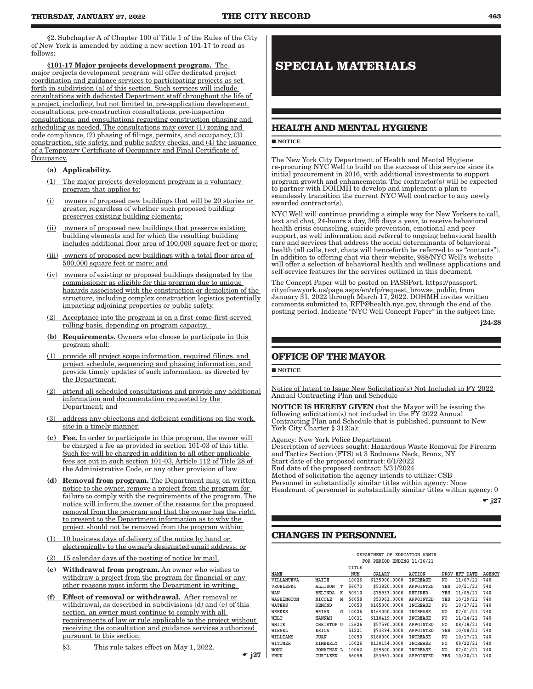§2. Subchapter A of Chapter 100 of Title 1 of the Rules of the City of New York is amended by adding a new section 101-17 to read as follows:

§101-17 Major projects development program. The major projects development program will offer dedicated project coordination and guidance services to participating projects as set forth in subdivision (a) of this section. Such services will include consultations with dedicated Department staff throughout the life of a project, including, but not limited to, pre-application development consultations, pre-construction consultations, pre-inspection consultations, and consultations regarding construction phasing and scheduling as needed. The consultations may cover (1) zoning and code compliance, (2) phasing of filings, permits, and occupancy, (3) construction, site safety, and public safety checks, and (4) the issuance of a Temporary Certificate of Occupancy and Final Certificate of Occupancy.

- (a) Applicability.
- (1) The major projects development program is a voluntary program that applies to:
- (i) owners of proposed new buildings that will be 20 stories or greater, regardless of whether such proposed building preserves existing building elements;
- (ii) owners of proposed new buildings that preserve existing building elements and for which the resulting building includes additional floor area of 100,000 square feet or more;
- (iii) owners of proposed new buildings with a total floor area of 500,000 square feet or more; and
- (iv) owners of existing or proposed buildings designated by the commissioner as eligible for this program due to unique hazards associated with the construction or demolition of the structure, including complex construction logistics potentially impacting adjoining properties or public safety.
- (2) Acceptance into the program is on a first-come-first-served rolling basis, depending on program capacity.
- (b) Requirements. Owners who choose to participate in this program shall:
- (1) provide all project scope information, required filings, and project schedule, sequencing and phasing information, and provide timely updates of such information, as directed by the Department;
- (2) attend all scheduled consultations and provide any additional information and documentation requested by the Department; and
- (3) address any objections and deficient conditions on the work site in a timely manner.
- (c) Fee. In order to participate in this program, the owner will be charged a fee as provided in section 101-03 of this title. Such fee will be charged in addition to all other applicable fees set out in such section 101-03, Article 112 of Title 28 of the Administrative Code, or any other provision of law.
- (d) Removal from program. The Department may, on written notice to the owner, remove a project from the program for failure to comply with the requirements of the program. The notice will inform the owner of the reasons for the proposed removal from the program and that the owner has the right to present to the Department information as to why the project should not be removed from the program within:
- (1) 10 business days of delivery of the notice by hand or electronically to the owner's designated email address; or
- 15 calendar days of the posting of notice by mail.
- (e) Withdrawal from program. An owner who wishes to withdraw a project from the program for financial or any other reasons must inform the Department in writing.
- (f) Effect of removal or withdrawal. After removal or withdrawal, as described in subdivisions (d) and (e) of this section, an owner must continue to comply with all requirements of law or rule applicable to the project without receiving the consultation and guidance services authorized pursuant to this section.
	- §3. This rule takes effect on May 1, 2022.

 $\div$  j27

# **SPECIAL MATERIALS**

## **HEALTH AND MENTAL HYGIENE**

#### **NOTICE**

The New York City Department of Health and Mental Hygiene re-procuring NYC Well to build on the success of this service since its initial procurement in 2016, with additional investments to support program growth and enhancements. The contractor(s) will be expected to partner with DOHMH to develop and implement a plan to seamlessly transition the current NYC Well contractor to any newly awarded contractor(s).

NYC Well will continue providing a simple way for New Yorkers to call, text and chat, 24-hours a day, 365 days a year, to receive behavioral health crisis counseling, suicide prevention, emotional and peer support, as well information and referral to ongoing behavioral health care and services that address the social determinants of behavioral health (all calls, text, chats will henceforth be referred to as "contacts"). In addition to offering chat via their website, 988/NYC Well's website will offer a selection of behavioral health and wellness applications and self-service features for the services outlined in this document.

The Concept Paper will be posted on PASSPort, https://passport. cityofnewyork.us/page.aspx/en/rfp/request\_browse\_public, from January 31, 2022 through March 17, 2022. DOHMH invites written comments submitted to, RFP@health.nyc.gov, through the end of the posting period. Indicate "NYC Well Concept Paper" in the subject line.

j24-28

## **OFFICE OF THE MAYOR**

## **NOTICE**

Notice of Intent to Issue New Solicitation(s) Not Included in FY 2022 Annual Contracting Plan and Schedule

NOTICE IS HEREBY GIVEN that the Mayor will be issuing the following solicitation(s) not included in the FY 2022 Annual Contracting Plan and Schedule that is published, pursuant to New York City Charter § 312(a):

Agency: New York Police Department Description of services sought: Hazardous Waste Removal for Firearm and Tactics Section (FTS) at 3 Rodmans Neck, Bronx, NY Start date of the proposed contract: 6/1/2022 End date of the proposed contract: 5/31/2024 Method of solicitation the agency intends to utilize: CSB Personnel in substantially similar titles within agency: None Headcount of personnel in substantially similar titles within agency: 0

 $\div$  j27

## **CHANGES IN PERSONNEL**

|            |                   |   |       | DEPARTMENT OF              | EDUCATION ADMIN |      |                 |               |
|------------|-------------------|---|-------|----------------------------|-----------------|------|-----------------|---------------|
|            |                   |   |       | FOR PERIOD ENDING 11/26/21 |                 |      |                 |               |
|            |                   |   | TITLE |                            |                 |      |                 |               |
| NAME       |                   |   | NUM   | SALARY                     | <b>ACTION</b>   | PROV | <b>EFF DATE</b> | <b>AGENCY</b> |
| VILLANUEVA | MAITE             |   | 10026 | \$135000.0000              | <b>INCREASE</b> | NO   | 11/07/21        | 740           |
| VROBLESKI  | ALLISON           | т | 56073 | \$53820,0000               | APPOINTED       | YES  | 10/21/21        | 740           |
| WAN        | BELINDA           | К | 50910 | \$75933.0000               | RETIRED         | YES  | 11/05/21        | 740           |
| WASHINGTON | <b>NICOLE</b>     | М | 56058 | \$53961.0000               | APPOINTED       | YES  | 10/19/21        | 740           |
| WATERS     | <b>DEMOND</b>     |   | 10050 | \$185000.0000              | <b>INCREASE</b> | NO   | 10/17/21        | 740           |
| WEEKES     | BRIAN             | G | 10026 | \$164000.0000              | INCREASE        | NO   | 07/01/21        | 740           |
| WELT       | HANNAH            |   | 10031 | \$110419.0000              | INCREASE        | NO   | 11/14/21        | 740           |
| WHITE      | CHRISTOP U        |   | 12626 | \$57590.0000               | APPOINTED       | NO.  | 08/18/21        | 740           |
| WIESEL     | ERICA             |   | 51221 | \$73394.0000               | APPOINTED       | YES  | 10/08/21        | 740           |
| WILLIAMS   | JUAN              |   | 10050 | \$180000.0000              | <b>INCREASE</b> | NO   | 10/17/21        | 740           |
| WITTMER    | KIMBERLY          |   | 10026 | \$130154.0000              | <b>INCREASE</b> | NO   | 08/22/21        | 740           |
| WONG       | <b>JONATHAN L</b> |   | 10062 | \$99500.0000               | <b>INCREASE</b> | NO   | 07/01/21        | 740           |
| YHUN       | CURTLEEN          |   | 56058 | \$53961.0000               | APPOINTED       | YES  | 10/20/21        | 740           |